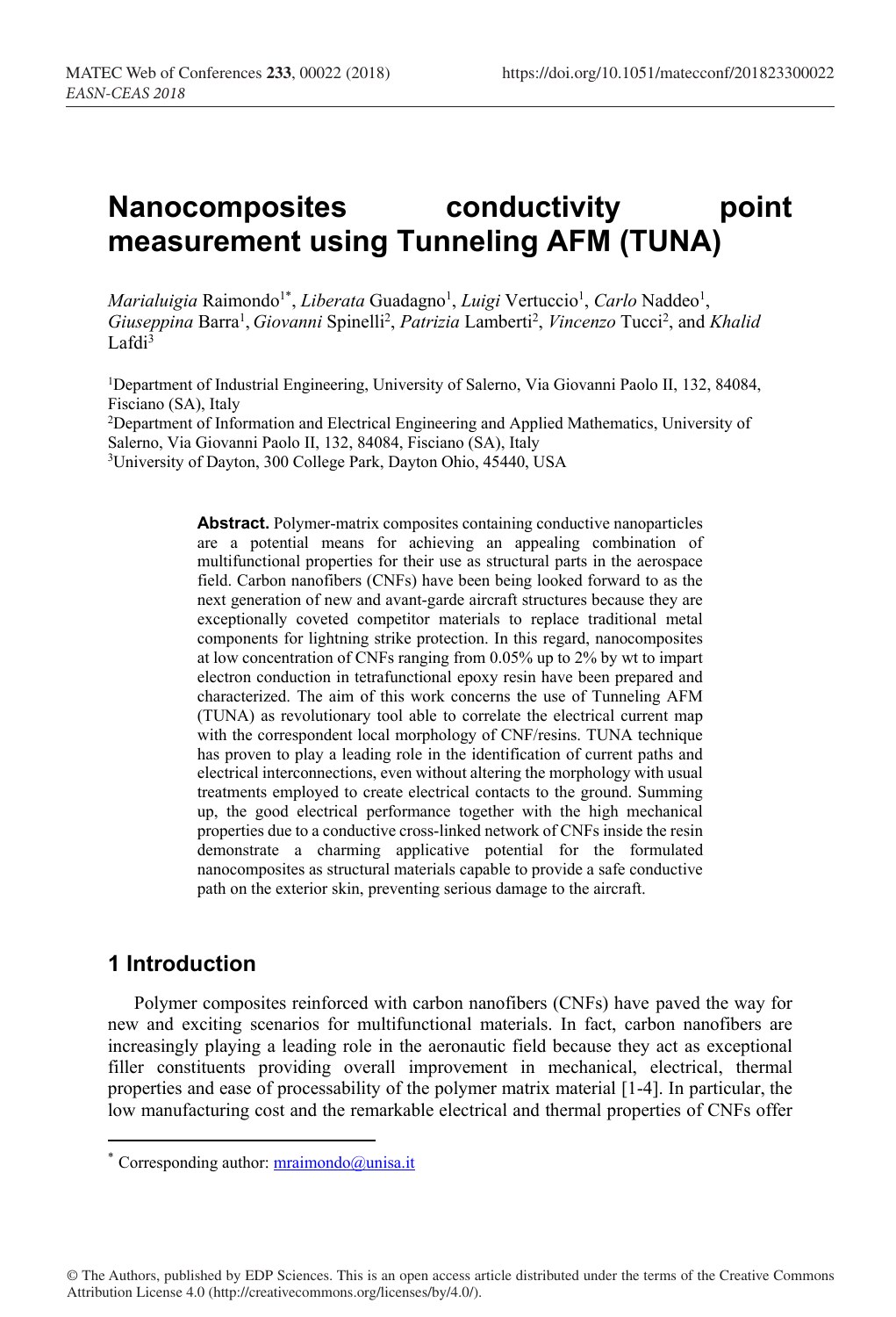# **Nanocomposites conductivity point measurement using Tunneling AFM (TUNA)**

*Marialuigia* Raimondo<sup>1\*</sup>, *Liberata* Guadagno<sup>1</sup>, *Luigi* Vertuccio<sup>1</sup>, *Carlo* Naddeo<sup>1</sup>, Giuseppina Barra<sup>1</sup>, Giovanni Spinelli<sup>2</sup>, Patrizia Lamberti<sup>2</sup>, Vincenzo Tucci<sup>2</sup>, and Khalid  $Lafdi<sup>3</sup>$ 

1Department of Industrial Engineering, University of Salerno, Via Giovanni Paolo II, 132, 84084, Fisciano (SA), Italy

<sup>2</sup>Department of Information and Electrical Engineering and Applied Mathematics, University of Salerno, Via Giovanni Paolo II, 132, 84084, Fisciano (SA), Italy <sup>3</sup>University of Dayton, 300 College Park, Dayton Ohio, 45440, USA

> **Abstract.** Polymer-matrix composites containing conductive nanoparticles are a potential means for achieving an appealing combination of multifunctional properties for their use as structural parts in the aerospace field. Carbon nanofibers (CNFs) have been being looked forward to as the next generation of new and avant-garde aircraft structures because they are exceptionally coveted competitor materials to replace traditional metal components for lightning strike protection. In this regard, nanocomposites at low concentration of CNFs ranging from 0.05% up to 2% by wt to impart electron conduction in tetrafunctional epoxy resin have been prepared and characterized. The aim of this work concerns the use of Tunneling AFM (TUNA) as revolutionary tool able to correlate the electrical current map with the correspondent local morphology of CNF/resins. TUNA technique has proven to play a leading role in the identification of current paths and electrical interconnections, even without altering the morphology with usual treatments employed to create electrical contacts to the ground. Summing up, the good electrical performance together with the high mechanical properties due to a conductive cross-linked network of CNFs inside the resin demonstrate a charming applicative potential for the formulated nanocomposites as structural materials capable to provide a safe conductive path on the exterior skin, preventing serious damage to the aircraft.

# **1 Introduction**

<u>.</u>

Polymer composites reinforced with carbon nanofibers (CNFs) have paved the way for new and exciting scenarios for multifunctional materials. In fact, carbon nanofibers are increasingly playing a leading role in the aeronautic field because they act as exceptional filler constituents providing overall improvement in mechanical, electrical, thermal properties and ease of processability of the polymer matrix material [1-4]. In particular, the low manufacturing cost and the remarkable electrical and thermal properties of CNFs offer

© The Authors, published by EDP Sciences. This is an open access article distributed under the terms of the Creative Commons Attribution License 4.0 (http://creativecommons.org/licenses/by/4.0/).

<sup>\*</sup> Corresponding author:  $\frac{1}{2}$  mraimondo $\frac{1}{2}$  misa.it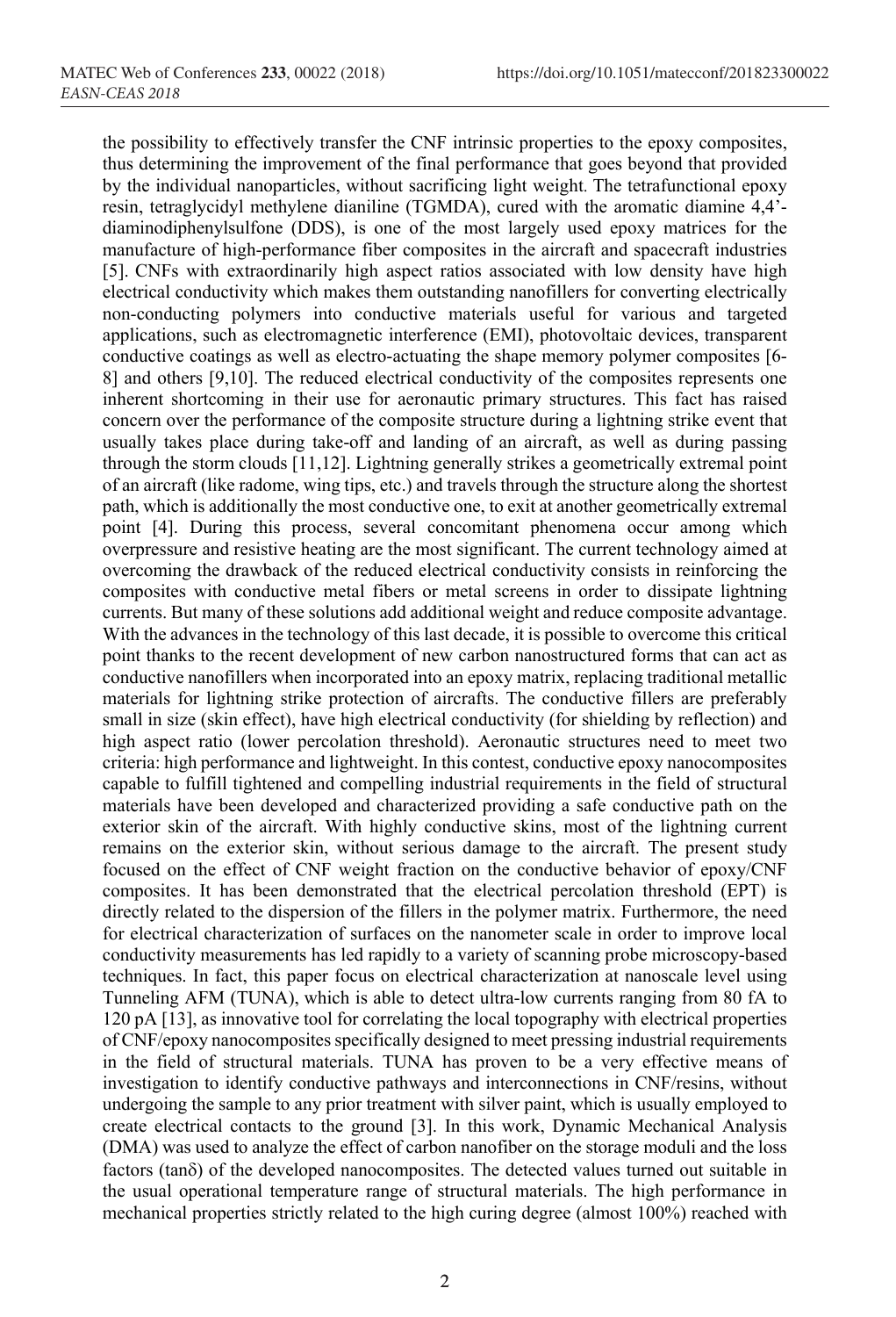the possibility to effectively transfer the CNF intrinsic properties to the epoxy composites, thus determining the improvement of the final performance that goes beyond that provided by the individual nanoparticles, without sacrificing light weight. The tetrafunctional epoxy resin, tetraglycidyl methylene dianiline (TGMDA), cured with the aromatic diamine 4,4' diaminodiphenylsulfone (DDS), is one of the most largely used epoxy matrices for the manufacture of high-performance fiber composites in the aircraft and spacecraft industries [5]. CNFs with extraordinarily high aspect ratios associated with low density have high electrical conductivity which makes them outstanding nanofillers for converting electrically non-conducting polymers into conductive materials useful for various and targeted applications, such as electromagnetic interference (EMI), photovoltaic devices, transparent conductive coatings as well as electro-actuating the shape memory polymer composites [6- 8] and others [9,10]. The reduced electrical conductivity of the composites represents one inherent shortcoming in their use for aeronautic primary structures. This fact has raised concern over the performance of the composite structure during a lightning strike event that usually takes place during take-off and landing of an aircraft, as well as during passing through the storm clouds [11,12]. Lightning generally strikes a geometrically extremal point of an aircraft (like radome, wing tips, etc.) and travels through the structure along the shortest path, which is additionally the most conductive one, to exit at another geometrically extremal point [4]. During this process, several concomitant phenomena occur among which overpressure and resistive heating are the most significant. The current technology aimed at overcoming the drawback of the reduced electrical conductivity consists in reinforcing the composites with conductive metal fibers or metal screens in order to dissipate lightning currents. But many of these solutions add additional weight and reduce composite advantage. With the advances in the technology of this last decade, it is possible to overcome this critical point thanks to the recent development of new carbon nanostructured forms that can act as conductive nanofillers when incorporated into an epoxy matrix, replacing traditional metallic materials for lightning strike protection of aircrafts. The conductive fillers are preferably small in size (skin effect), have high electrical conductivity (for shielding by reflection) and high aspect ratio (lower percolation threshold). Aeronautic structures need to meet two criteria: high performance and lightweight. In this contest, conductive epoxy nanocomposites capable to fulfill tightened and compelling industrial requirements in the field of structural materials have been developed and characterized providing a safe conductive path on the exterior skin of the aircraft. With highly conductive skins, most of the lightning current remains on the exterior skin, without serious damage to the aircraft. The present study focused on the effect of CNF weight fraction on the conductive behavior of epoxy/CNF composites. It has been demonstrated that the electrical percolation threshold (EPT) is directly related to the dispersion of the fillers in the polymer matrix. Furthermore, the need for electrical characterization of surfaces on the nanometer scale in order to improve local conductivity measurements has led rapidly to a variety of scanning probe microscopy-based techniques. In fact, this paper focus on electrical characterization at nanoscale level using Tunneling AFM (TUNA), which is able to detect ultra-low currents ranging from 80 fA to 120 pA [13], as innovative tool for correlating the local topography with electrical properties of CNF/epoxy nanocomposites specifically designed to meet pressing industrial requirements in the field of structural materials. TUNA has proven to be a very effective means of investigation to identify conductive pathways and interconnections in CNF/resins, without undergoing the sample to any prior treatment with silver paint, which is usually employed to create electrical contacts to the ground [3]. In this work, Dynamic Mechanical Analysis (DMA) was used to analyze the effect of carbon nanofiber on the storage moduli and the loss factors (tand) of the developed nanocomposites. The detected values turned out suitable in the usual operational temperature range of structural materials. The high performance in mechanical properties strictly related to the high curing degree (almost 100%) reached with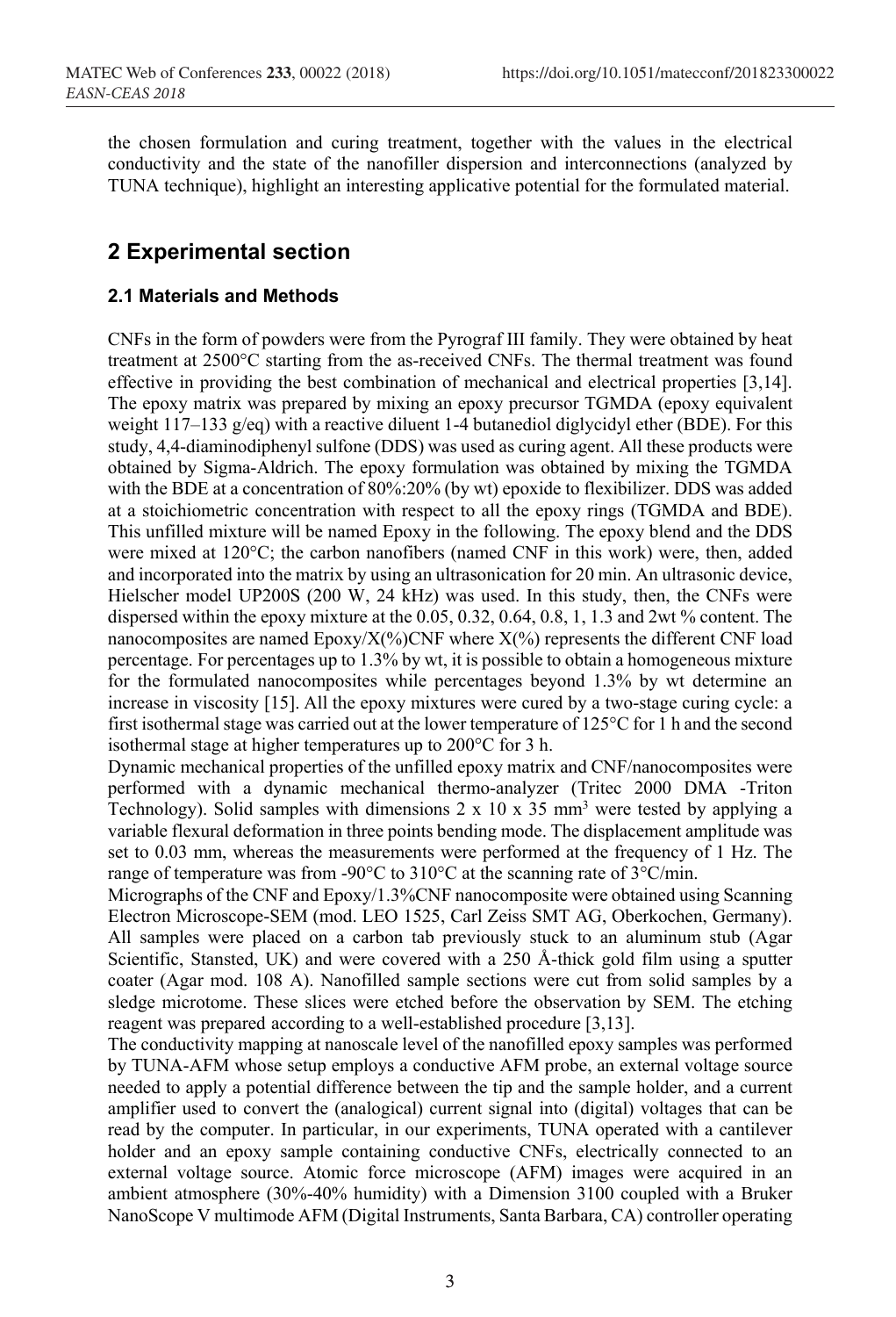the chosen formulation and curing treatment, together with the values in the electrical conductivity and the state of the nanofiller dispersion and interconnections (analyzed by TUNA technique), highlight an interesting applicative potential for the formulated material.

# **2 Experimental section**

#### **2.1 Materials and Methods**

CNFs in the form of powders were from the Pyrograf III family. They were obtained by heat treatment at 2500°C starting from the as-received CNFs. The thermal treatment was found effective in providing the best combination of mechanical and electrical properties [3,14]. The epoxy matrix was prepared by mixing an epoxy precursor TGMDA (epoxy equivalent weight 117–133 g/eq) with a reactive diluent 1-4 butanediol diglycidyl ether (BDE). For this study, 4,4-diaminodiphenyl sulfone (DDS) was used as curing agent. All these products were obtained by Sigma-Aldrich. The epoxy formulation was obtained by mixing the TGMDA with the BDE at a concentration of 80%:20% (by wt) epoxide to flexibilizer. DDS was added at a stoichiometric concentration with respect to all the epoxy rings (TGMDA and BDE). This unfilled mixture will be named Epoxy in the following. The epoxy blend and the DDS were mixed at 120°C; the carbon nanofibers (named CNF in this work) were, then, added and incorporated into the matrix by using an ultrasonication for 20 min. An ultrasonic device, Hielscher model UP200S (200 W, 24 kHz) was used. In this study, then, the CNFs were dispersed within the epoxy mixture at the 0.05, 0.32, 0.64, 0.8, 1, 1.3 and 2wt % content. The nanocomposites are named  $Epoxy/X$ (%)CNF where  $X$ (%) represents the different CNF load percentage. For percentages up to 1.3% by wt, it is possible to obtain a homogeneous mixture for the formulated nanocomposites while percentages beyond 1.3% by wt determine an increase in viscosity [15]. All the epoxy mixtures were cured by a two-stage curing cycle: a first isothermal stage was carried out at the lower temperature of 125°C for 1 h and the second isothermal stage at higher temperatures up to 200°C for 3 h.

Dynamic mechanical properties of the unfilled epoxy matrix and CNF/nanocomposites were performed with a dynamic mechanical thermo-analyzer (Tritec 2000 DMA -Triton Technology). Solid samples with dimensions  $2 \times 10 \times 35$  mm<sup>3</sup> were tested by applying a variable flexural deformation in three points bending mode. The displacement amplitude was set to 0.03 mm, whereas the measurements were performed at the frequency of 1 Hz. The range of temperature was from -90 $^{\circ}$ C to 310 $^{\circ}$ C at the scanning rate of 3 $^{\circ}$ C/min.

Micrographs of the CNF and Epoxy/1.3%CNF nanocomposite were obtained using Scanning Electron Microscope-SEM (mod. LEO 1525, Carl Zeiss SMT AG, Oberkochen, Germany). All samples were placed on a carbon tab previously stuck to an aluminum stub (Agar Scientific, Stansted, UK) and were covered with a 250 Å-thick gold film using a sputter coater (Agar mod. 108 A). Nanofilled sample sections were cut from solid samples by a sledge microtome. These slices were etched before the observation by SEM. The etching reagent was prepared according to a well-established procedure [3,13].

The conductivity mapping at nanoscale level of the nanofilled epoxy samples was performed by TUNA-AFM whose setup employs a conductive AFM probe, an external voltage source needed to apply a potential difference between the tip and the sample holder, and a current amplifier used to convert the (analogical) current signal into (digital) voltages that can be read by the computer. In particular, in our experiments, TUNA operated with a cantilever holder and an epoxy sample containing conductive CNFs, electrically connected to an external voltage source. Atomic force microscope (AFM) images were acquired in an ambient atmosphere (30%-40% humidity) with a Dimension 3100 coupled with a Bruker NanoScope V multimode AFM (Digital Instruments, Santa Barbara, CA) controller operating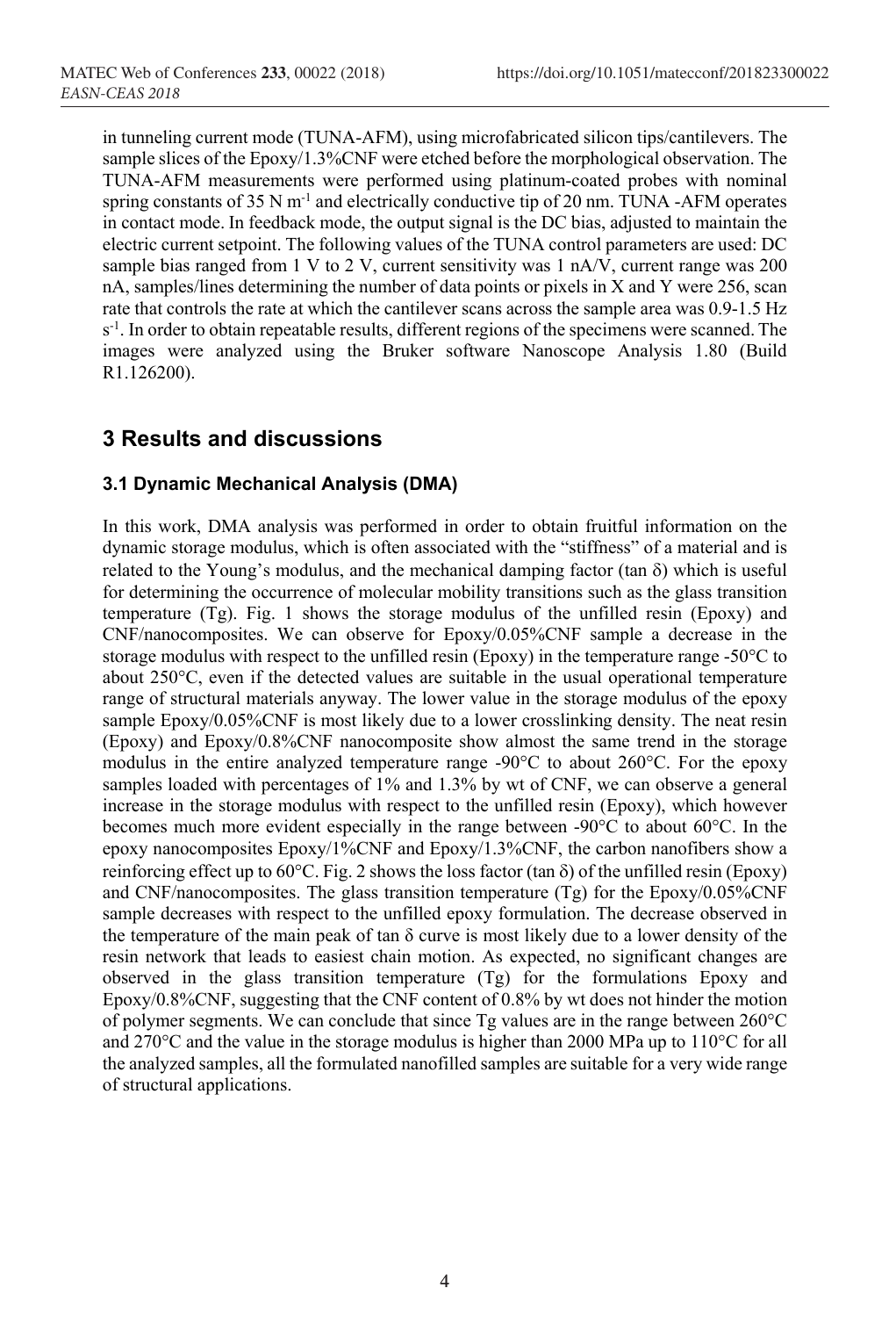in tunneling current mode (TUNA-AFM), using microfabricated silicon tips/cantilevers. The sample slices of the Epoxy/1.3%CNF were etched before the morphological observation. The TUNA-AFM measurements were performed using platinum-coated probes with nominal spring constants of  $35 \text{ N m}^{-1}$  and electrically conductive tip of  $20 \text{ nm}$ . TUNA -AFM operates in contact mode. In feedback mode, the output signal is the DC bias, adjusted to maintain the electric current setpoint. The following values of the TUNA control parameters are used: DC sample bias ranged from 1 V to 2 V, current sensitivity was 1 nA/V, current range was 200 nA, samples/lines determining the number of data points or pixels in X and Y were 256, scan rate that controls the rate at which the cantilever scans across the sample area was 0.9-1.5 Hz s<sup>-1</sup>. In order to obtain repeatable results, different regions of the specimens were scanned. The images were analyzed using the Bruker software Nanoscope Analysis 1.80 (Build R1.126200).

### **3 Results and discussions**

#### **3.1 Dynamic Mechanical Analysis (DMA)**

In this work, DMA analysis was performed in order to obtain fruitful information on the dynamic storage modulus, which is often associated with the "stiffness" of a material and is related to the Young's modulus, and the mechanical damping factor (tan  $\delta$ ) which is useful for determining the occurrence of molecular mobility transitions such as the glass transition temperature (Tg). Fig. 1 shows the storage modulus of the unfilled resin (Epoxy) and CNF/nanocomposites. We can observe for Epoxy/0.05%CNF sample a decrease in the storage modulus with respect to the unfilled resin (Epoxy) in the temperature range -50°C to about 250°C, even if the detected values are suitable in the usual operational temperature range of structural materials anyway. The lower value in the storage modulus of the epoxy sample Epoxy/0.05%CNF is most likely due to a lower crosslinking density. The neat resin (Epoxy) and Epoxy/0.8%CNF nanocomposite show almost the same trend in the storage modulus in the entire analyzed temperature range -90°C to about 260°C. For the epoxy samples loaded with percentages of 1% and 1.3% by wt of CNF, we can observe a general increase in the storage modulus with respect to the unfilled resin (Epoxy), which however becomes much more evident especially in the range between -90°C to about 60°C. In the epoxy nanocomposites Epoxy/1%CNF and Epoxy/1.3%CNF, the carbon nanofibers show a reinforcing effect up to 60°C. Fig. 2 shows the loss factor (tan  $\delta$ ) of the unfilled resin (Epoxy) and CNF/nanocomposites. The glass transition temperature (Tg) for the Epoxy/0.05%CNF sample decreases with respect to the unfilled epoxy formulation. The decrease observed in the temperature of the main peak of tan δ curve is most likely due to a lower density of the resin network that leads to easiest chain motion. As expected, no significant changes are observed in the glass transition temperature (Tg) for the formulations Epoxy and Epoxy/0.8%CNF, suggesting that the CNF content of 0.8% by wt does not hinder the motion of polymer segments. We can conclude that since Tg values are in the range between 260°C and 270°C and the value in the storage modulus is higher than 2000 MPa up to 110°C for all the analyzed samples, all the formulated nanofilled samples are suitable for a very wide range of structural applications.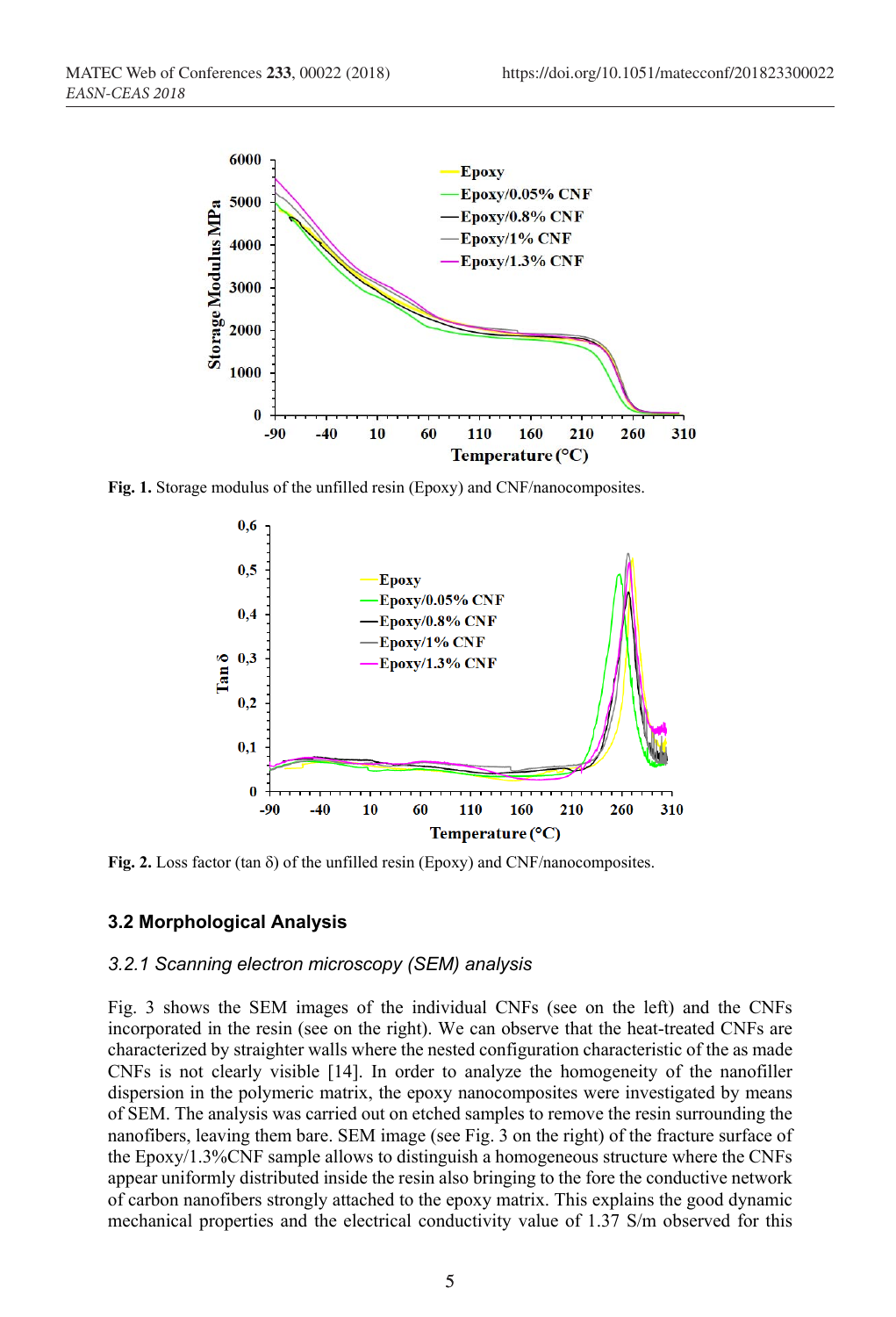

**Fig. 1.** Storage modulus of the unfilled resin (Epoxy) and CNF/nanocomposites.



Fig. 2. Loss factor (tan  $\delta$ ) of the unfilled resin (Epoxy) and CNF/nanocomposites.

#### **3.2 Morphological Analysis**

#### *3.2.1 Scanning electron microscopy (SEM) analysis*

Fig. 3 shows the SEM images of the individual CNFs (see on the left) and the CNFs incorporated in the resin (see on the right). We can observe that the heat-treated CNFs are characterized by straighter walls where the nested configuration characteristic of the as made CNFs is not clearly visible [14]. In order to analyze the homogeneity of the nanofiller dispersion in the polymeric matrix, the epoxy nanocomposites were investigated by means of SEM. The analysis was carried out on etched samples to remove the resin surrounding the nanofibers, leaving them bare. SEM image (see Fig. 3 on the right) of the fracture surface of the Epoxy/1.3%CNF sample allows to distinguish a homogeneous structure where the CNFs appear uniformly distributed inside the resin also bringing to the fore the conductive network of carbon nanofibers strongly attached to the epoxy matrix. This explains the good dynamic mechanical properties and the electrical conductivity value of 1.37 S/m observed for this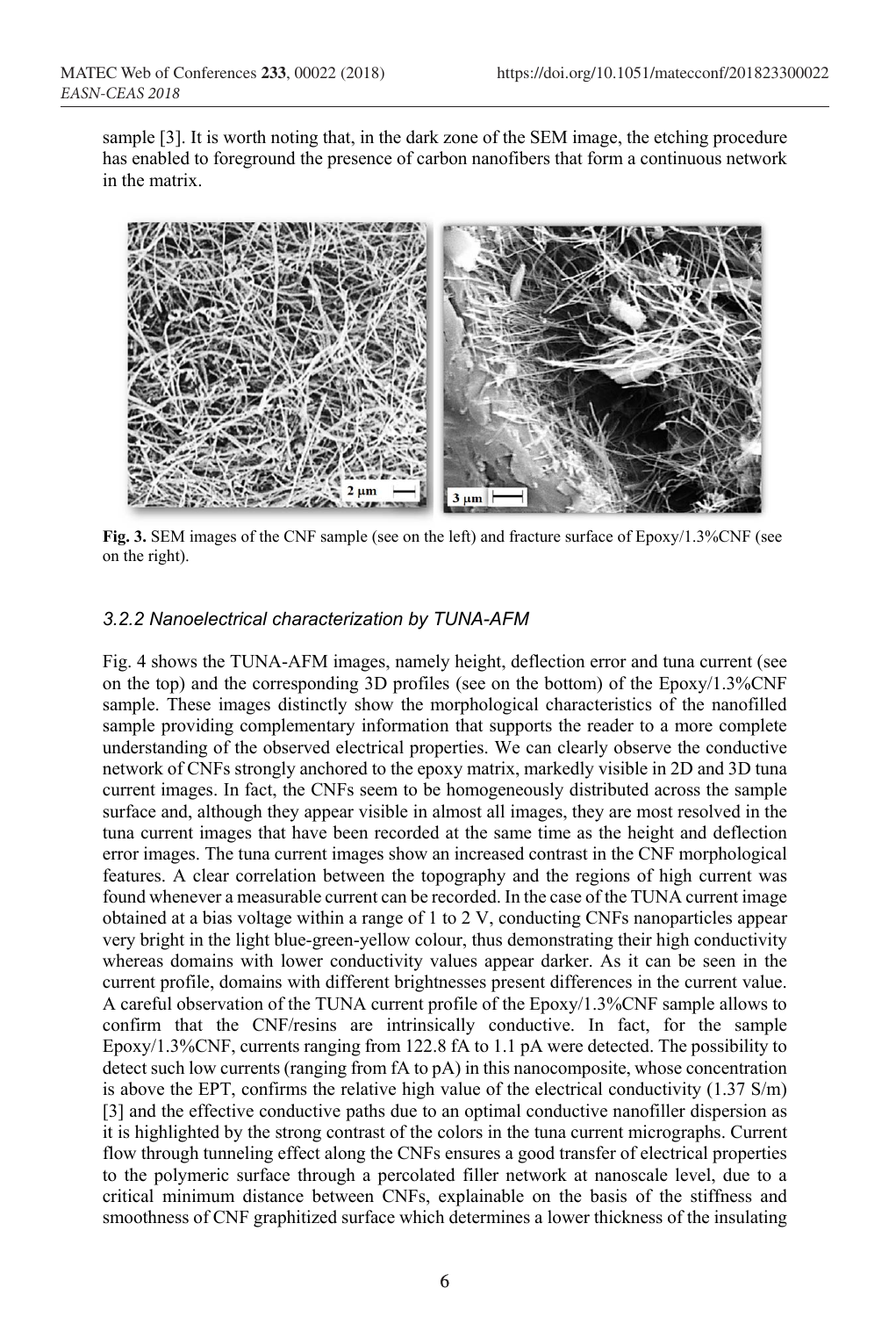sample [3]. It is worth noting that, in the dark zone of the SEM image, the etching procedure has enabled to foreground the presence of carbon nanofibers that form a continuous network in the matrix.



**Fig. 3.** SEM images of the CNF sample (see on the left) and fracture surface of Epoxy/1.3%CNF (see on the right).

#### *3.2.2 Nanoelectrical characterization by TUNA-AFM*

Fig. 4 shows the TUNA-AFM images, namely height, deflection error and tuna current (see on the top) and the corresponding 3D profiles (see on the bottom) of the Epoxy/1.3%CNF sample. These images distinctly show the morphological characteristics of the nanofilled sample providing complementary information that supports the reader to a more complete understanding of the observed electrical properties. We can clearly observe the conductive network of CNFs strongly anchored to the epoxy matrix, markedly visible in 2D and 3D tuna current images. In fact, the CNFs seem to be homogeneously distributed across the sample surface and, although they appear visible in almost all images, they are most resolved in the tuna current images that have been recorded at the same time as the height and deflection error images. The tuna current images show an increased contrast in the CNF morphological features. A clear correlation between the topography and the regions of high current was found whenever a measurable current can be recorded. In the case of the TUNA current image obtained at a bias voltage within a range of 1 to 2 V, conducting CNFs nanoparticles appear very bright in the light blue-green-yellow colour, thus demonstrating their high conductivity whereas domains with lower conductivity values appear darker. As it can be seen in the current profile, domains with different brightnesses present differences in the current value. A careful observation of the TUNA current profile of the Epoxy/1.3%CNF sample allows to confirm that the CNF/resins are intrinsically conductive. In fact, for the sample Epoxy/1.3%CNF, currents ranging from 122.8 fA to 1.1 pA were detected. The possibility to detect such low currents (ranging from fA to pA) in this nanocomposite, whose concentration is above the EPT, confirms the relative high value of the electrical conductivity (1.37 S/m) [3] and the effective conductive paths due to an optimal conductive nanofiller dispersion as it is highlighted by the strong contrast of the colors in the tuna current micrographs. Current flow through tunneling effect along the CNFs ensures a good transfer of electrical properties to the polymeric surface through a percolated filler network at nanoscale level, due to a critical minimum distance between CNFs, explainable on the basis of the stiffness and smoothness of CNF graphitized surface which determines a lower thickness of the insulating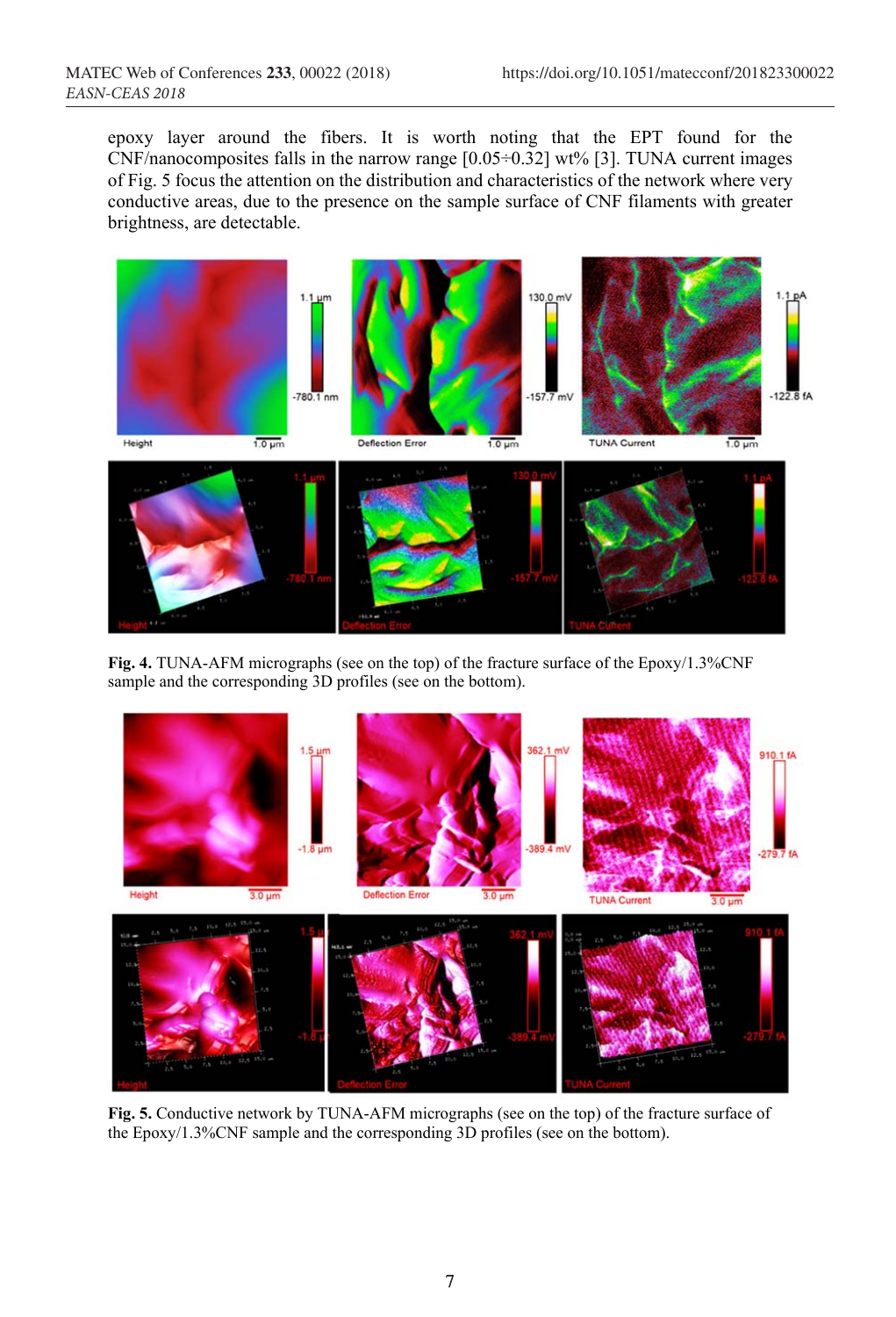epoxy layer around the fibers. It is worth noting that the EPT found for the CNF/nanocomposites falls in the narrow range  $[0.05\div0.32]$  wt% [3]. TUNA current images of Fig. 5 focus the attention on the distribution and characteristics of the network where very conductive areas, due to the presence on the sample surface of CNF filaments with greater brightness, are detectable.



**Fig. 4.** TUNA-AFM micrographs (see on the top) of the fracture surface of the Epoxy/1.3%CNF sample and the corresponding 3D profiles (see on the bottom).



**Fig. 5.** Conductive network by TUNA-AFM micrographs (see on the top) of the fracture surface of the Epoxy/1.3%CNF sample and the corresponding 3D profiles (see on the bottom).